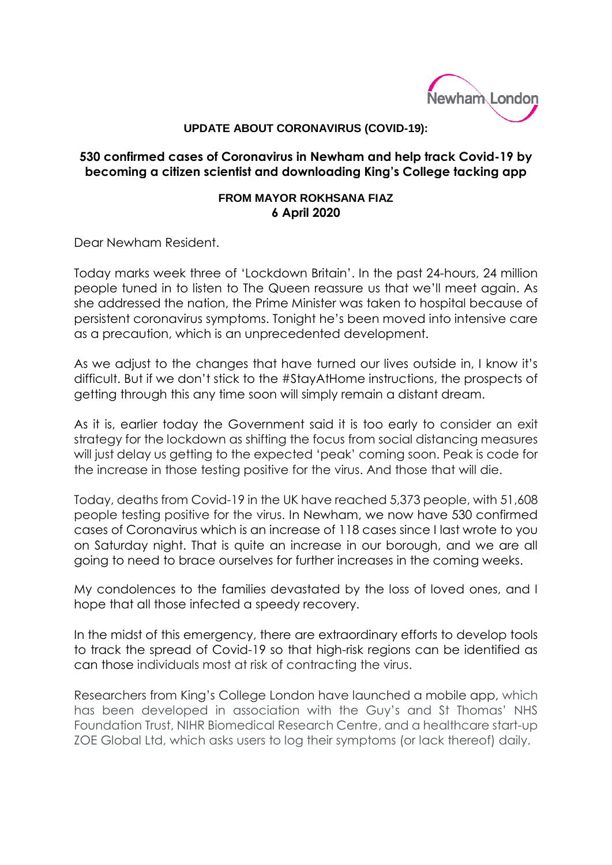

## **UPDATE ABOUT CORONAVIRUS (COVID-19):**

## **530 confirmed cases of Coronavirus in Newham and help track Covid-19 by becoming a citizen scientist and downloading King's College tacking app**

## **FROM MAYOR ROKHSANA FIAZ 6 April 2020**

Dear Newham Resident.

Today marks week three of 'Lockdown Britain'. In the past 24-hours, 24 million people tuned in to listen to The Queen reassure us that we'll meet again. As she addressed the nation, the Prime Minister was taken to hospital because of persistent coronavirus symptoms. Tonight he's been moved into intensive care as a precaution, which is an unprecedented development.

As we adjust to the changes that have turned our lives outside in, I know it's difficult. But if we don't stick to the #StayAtHome instructions, the prospects of getting through this any time soon will simply remain a distant dream.

As it is, earlier today the Government said it is too early to consider an exit strategy for the lockdown as shifting the focus from social distancing measures will just delay us getting to the expected 'peak' coming soon. Peak is code for the increase in those testing positive for the virus. And those that will die.

Today, deaths from Covid-19 in the UK have reached 5,373 people, with 51,608 people testing positive for the virus. In Newham, we now have 530 confirmed cases of Coronavirus which is an increase of 118 cases since I last wrote to you on Saturday night. That is quite an increase in our borough, and we are all going to need to brace ourselves for further increases in the coming weeks.

My condolences to the families devastated by the loss of loved ones, and I hope that all those infected a speedy recovery.

In the midst of this emergency, there are extraordinary efforts to develop tools to track the spread of Covid-19 so that high-risk regions can be identified as can those individuals most at risk of contracting the virus.

Researchers from King's College London have launched a mobile app, which has been developed in association with the Guy's and St Thomas' NHS Foundation Trust, NIHR Biomedical Research Centre, and a healthcare start-up ZOE Global Ltd, which asks users to log their symptoms (or lack thereof) daily.